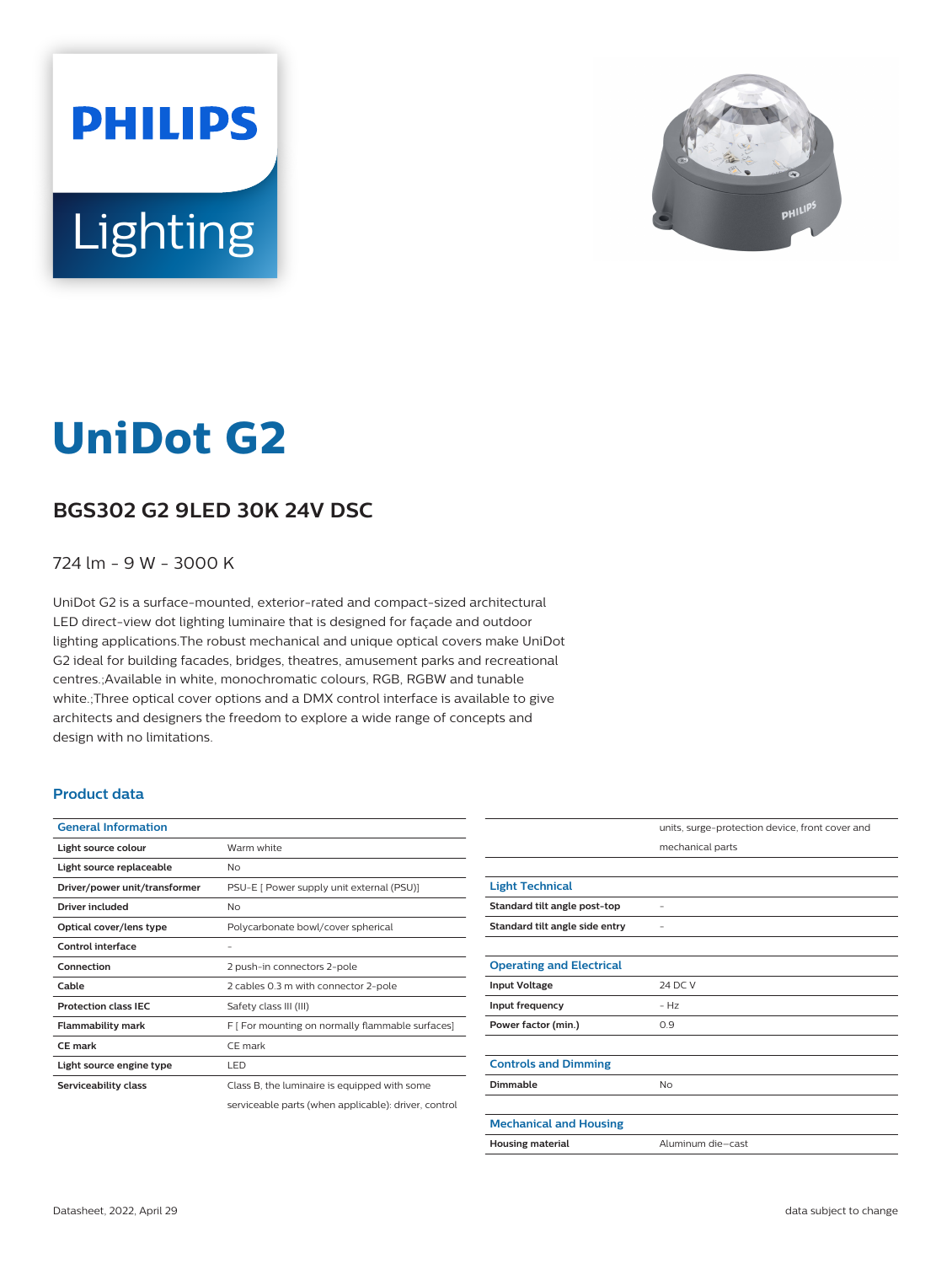



# **UniDot G2**

# **BGS302 G2 9LED 30K 24V DSC**

### 724 lm - 9 W - 3000 K

UniDot G2 is a surface-mounted, exterior-rated and compact-sized architectural LED direct-view dot lighting luminaire that is designed for façade and outdoor lighting applications.The robust mechanical and unique optical covers make UniDot G2 ideal for building facades, bridges, theatres, amusement parks and recreational centres.;Available in white, monochromatic colours, RGB, RGBW and tunable white.;Three optical cover options and a DMX control interface is available to give architects and designers the freedom to explore a wide range of concepts and design with no limitations.

#### **Product data**

| <b>General Information</b>    |                                                      |
|-------------------------------|------------------------------------------------------|
| Light source colour           | Warm white                                           |
| Light source replaceable      | No                                                   |
| Driver/power unit/transformer | PSU-E [ Power supply unit external (PSU)]            |
| Driver included               | No                                                   |
| Optical cover/lens type       | Polycarbonate bowl/cover spherical                   |
| <b>Control interface</b>      |                                                      |
| Connection                    | 2 push-in connectors 2-pole                          |
| Cable                         | 2 cables 0.3 m with connector 2-pole                 |
| <b>Protection class IEC</b>   | Safety class III (III)                               |
| <b>Flammability mark</b>      | F [ For mounting on normally flammable surfaces]     |
| <b>CE mark</b>                | CE mark                                              |
| Light source engine type      | LED                                                  |
| Serviceability class          | Class B, the luminaire is equipped with some         |
|                               | serviceable parts (when applicable): driver, control |

|                                 | units, surge-protection device, front cover and |
|---------------------------------|-------------------------------------------------|
|                                 | mechanical parts                                |
|                                 |                                                 |
| <b>Light Technical</b>          |                                                 |
| Standard tilt angle post-top    |                                                 |
| Standard tilt angle side entry  |                                                 |
|                                 |                                                 |
| <b>Operating and Electrical</b> |                                                 |
| <b>Input Voltage</b>            | 24 DC V                                         |
| Input frequency                 | $- Hz$                                          |
| Power factor (min.)             | 0.9                                             |
|                                 |                                                 |
| <b>Controls and Dimming</b>     |                                                 |
| Dimmable                        | <b>No</b>                                       |
|                                 |                                                 |
| <b>Mechanical and Housing</b>   |                                                 |
| <b>Housing material</b>         | Aluminum die-cast                               |
|                                 |                                                 |